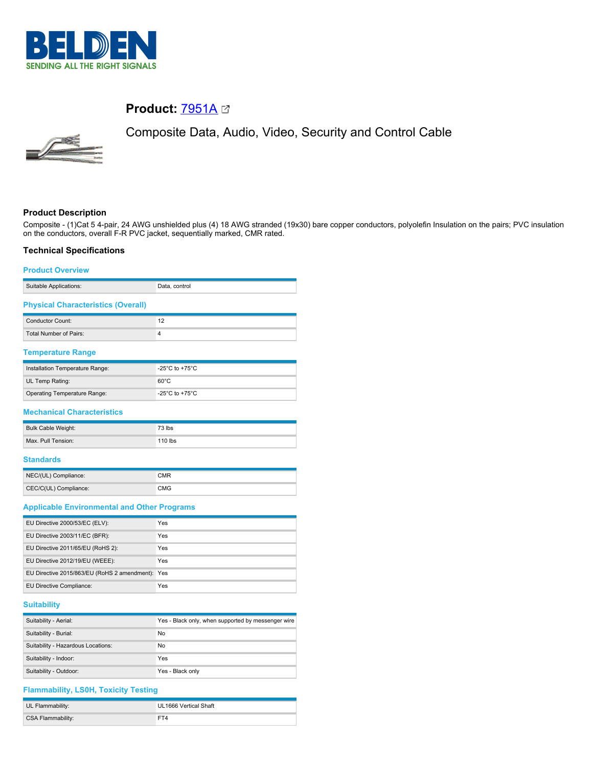

# **Product: [7951A](https://catalog.belden.com/index.cfm?event=pd&p=PF_7951A&tab=downloads) 23**



Composite Data, Audio, Video, Security and Control Cable

## **Product Description**

Composite - (1)Cat 5 4-pair, 24 AWG unshielded plus (4) 18 AWG stranded (19x30) bare copper conductors, polyolefin Insulation on the pairs; PVC insulation on the conductors, overall F-R PVC jacket, sequentially marked, CMR rated.

## **Technical Specifications**

#### **Product Overview**

| Suitable Applications:                    | Data, control |
|-------------------------------------------|---------------|
| <b>Physical Characteristics (Overall)</b> |               |

| Conductor Count:       |  |
|------------------------|--|
| Total Number of Pairs: |  |
|                        |  |

# **Temperature Range**

| Installation Temperature Range: | -25 $^{\circ}$ C to +75 $^{\circ}$ C |
|---------------------------------|--------------------------------------|
| UL Temp Rating:                 | $60^{\circ}$ C                       |
| Operating Temperature Range:    | -25°C to +75°C                       |

#### **Mechanical Characteristics**

| Bulk Cable Weight: | 73 lbs    |
|--------------------|-----------|
| Max. Pull Tension: | $110$ lbs |

#### **Standards**

| NEC/(UL) Compliance:  | CMR |
|-----------------------|-----|
| CEC/C(UL) Compliance: | CMG |

#### **Applicable Environmental and Other Programs**

| EU Directive 2000/53/EC (ELV):                   | Yes |
|--------------------------------------------------|-----|
| EU Directive 2003/11/EC (BFR):                   | Yes |
| EU Directive 2011/65/EU (RoHS 2):                | Yes |
| EU Directive 2012/19/EU (WEEE):                  | Yes |
| EU Directive 2015/863/EU (RoHS 2 amendment): Yes |     |
| EU Directive Compliance:                         | Yes |

## **Suitability**

| Suitability - Aerial:              | Yes - Black only, when supported by messenger wire |
|------------------------------------|----------------------------------------------------|
| Suitability - Burial:              | No                                                 |
| Suitability - Hazardous Locations: | No                                                 |
| Suitability - Indoor:              | Yes                                                |
| Suitability - Outdoor:             | Yes - Black only                                   |

## **Flammability, LS0H, Toxicity Testing**

| UL Flammability:  | UL1666 Vertical Shaft |
|-------------------|-----------------------|
| CSA Flammability: | FT4                   |